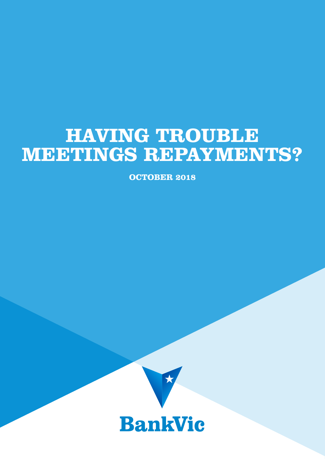# **HAVING TROUBLE MEETINGS REPAYMENTS?**

**OCTOBER 2018**